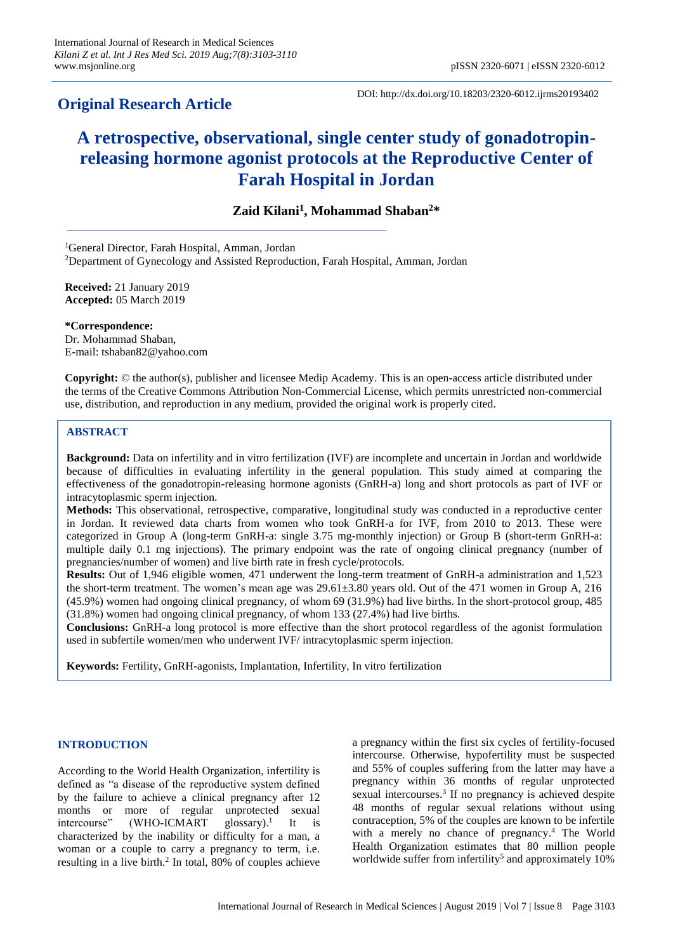# **Original Research Article**

DOI: http://dx.doi.org/10.18203/2320-6012.ijrms20193402

# **A retrospective, observational, single center study of gonadotropinreleasing hormone agonist protocols at the Reproductive Center of Farah Hospital in Jordan**

# **Zaid Kilani<sup>1</sup> , Mohammad Shaban<sup>2</sup>\***

<sup>1</sup>General Director, Farah Hospital, Amman, Jordan <sup>2</sup>Department of Gynecology and Assisted Reproduction, Farah Hospital, Amman, Jordan

**Received:** 21 January 2019 **Accepted:** 05 March 2019

**\*Correspondence:** Dr. Mohammad Shaban, E-mail: tshaban82@yahoo.com

**Copyright:** © the author(s), publisher and licensee Medip Academy. This is an open-access article distributed under the terms of the Creative Commons Attribution Non-Commercial License, which permits unrestricted non-commercial use, distribution, and reproduction in any medium, provided the original work is properly cited.

# **ABSTRACT**

**Background:** Data on infertility and in vitro fertilization (IVF) are incomplete and uncertain in Jordan and worldwide because of difficulties in evaluating infertility in the general population. This study aimed at comparing the effectiveness of the gonadotropin-releasing hormone agonists (GnRH-a) long and short protocols as part of IVF or intracytoplasmic sperm injection.

**Methods:** This observational, retrospective, comparative, longitudinal study was conducted in a reproductive center in Jordan. It reviewed data charts from women who took GnRH-a for IVF, from 2010 to 2013. These were categorized in Group A (long-term GnRH-a: single 3.75 mg-monthly injection) or Group B (short-term GnRH-a: multiple daily 0.1 mg injections). The primary endpoint was the rate of ongoing clinical pregnancy (number of pregnancies/number of women) and live birth rate in fresh cycle/protocols.

**Results:** Out of 1,946 eligible women, 471 underwent the long-term treatment of GnRH-a administration and 1,523 the short-term treatment. The women's mean age was 29.61±3.80 years old. Out of the 471 women in Group A, 216 (45.9%) women had ongoing clinical pregnancy, of whom 69 (31.9%) had live births. In the short-protocol group, 485 (31.8%) women had ongoing clinical pregnancy, of whom 133 (27.4%) had live births.

**Conclusions:** GnRH-a long protocol is more effective than the short protocol regardless of the agonist formulation used in subfertile women/men who underwent IVF/ intracytoplasmic sperm injection.

**Keywords:** Fertility, GnRH-agonists, Implantation, Infertility, In vitro fertilization

#### **INTRODUCTION**

According to the World Health Organization, infertility is defined as "a disease of the reproductive system defined by the failure to achieve a clinical pregnancy after 12 months or more of regular unprotected sexual intercourse" (WHO-ICMART glossary).<sup>1</sup> It is characterized by the inability or difficulty for a man, a woman or a couple to carry a pregnancy to term, i.e. resulting in a live birth. 2 In total, 80% of couples achieve a pregnancy within the first six cycles of fertility-focused intercourse. Otherwise, hypofertility must be suspected and 55% of couples suffering from the latter may have a pregnancy within 36 months of regular unprotected sexual intercourses. 3 If no pregnancy is achieved despite 48 months of regular sexual relations without using contraception, 5% of the couples are known to be infertile with a merely no chance of pregnancy. <sup>4</sup> The World Health Organization estimates that 80 million people worldwide suffer from infertility<sup>5</sup> and approximately 10%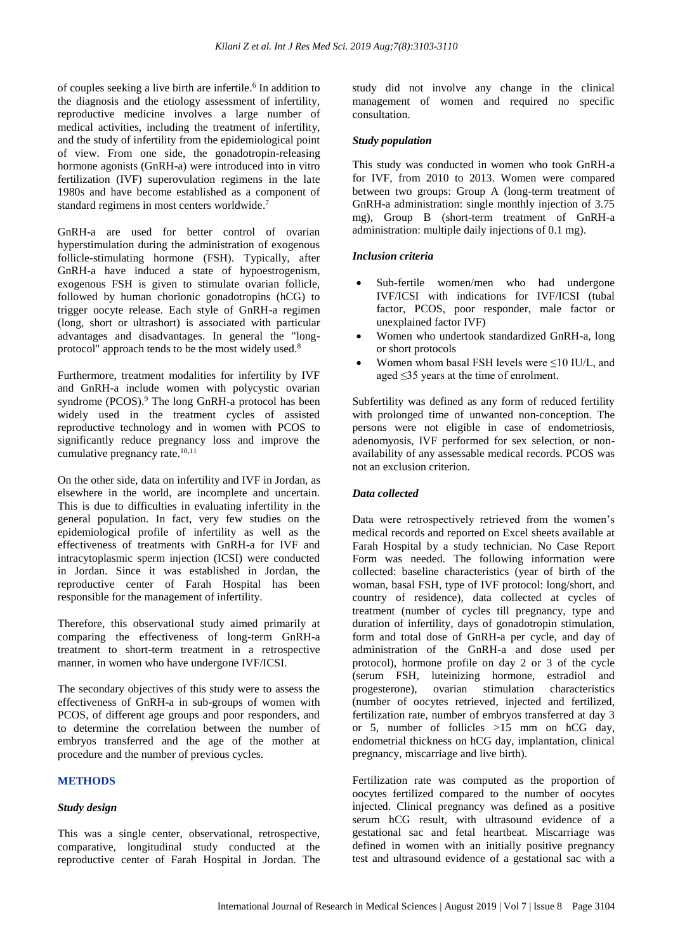of couples seeking a live birth are infertile. 6 In addition to the diagnosis and the etiology assessment of infertility, reproductive medicine involves a large number of medical activities, including the treatment of infertility, and the study of infertility from the epidemiological point of view. From one side, the gonadotropin-releasing hormone agonists (GnRH-a) were introduced into in vitro fertilization (IVF) superovulation regimens in the late 1980s and have become established as a component of standard regimens in most centers worldwide. 7

GnRH-a are used for better control of ovarian hyperstimulation during the administration of exogenous follicle-stimulating hormone (FSH). Typically, after GnRH-a have induced a state of hypoestrogenism, exogenous FSH is given to stimulate ovarian follicle, followed by human chorionic gonadotropins (hCG) to trigger oocyte release. Each style of GnRH-a regimen (long, short or ultrashort) is associated with particular advantages and disadvantages. In general the "longprotocol" approach tends to be the most widely used.<sup>8</sup>

Furthermore, treatment modalities for infertility by IVF and GnRH-a include women with polycystic ovarian syndrome (PCOS). <sup>9</sup> The long GnRH-a protocol has been widely used in the treatment cycles of assisted reproductive technology and in women with PCOS to significantly reduce pregnancy loss and improve the cumulative pregnancy rate.<sup>10,11</sup>

On the other side, data on infertility and IVF in Jordan, as elsewhere in the world, are incomplete and uncertain. This is due to difficulties in evaluating infertility in the general population. In fact, very few studies on the epidemiological profile of infertility as well as the effectiveness of treatments with GnRH-a for IVF and intracytoplasmic sperm injection (ICSI) were conducted in Jordan. Since it was established in Jordan, the reproductive center of Farah Hospital has been responsible for the management of infertility.

Therefore, this observational study aimed primarily at comparing the effectiveness of long-term GnRH-a treatment to short-term treatment in a retrospective manner, in women who have undergone IVF/ICSI.

The secondary objectives of this study were to assess the effectiveness of GnRH-a in sub-groups of women with PCOS, of different age groups and poor responders, and to determine the correlation between the number of embryos transferred and the age of the mother at procedure and the number of previous cycles.

# **METHODS**

# *Study design*

This was a single center, observational, retrospective, comparative, longitudinal study conducted at the reproductive center of Farah Hospital in Jordan. The study did not involve any change in the clinical management of women and required no specific consultation.

# *Study population*

This study was conducted in women who took GnRH-a for IVF, from 2010 to 2013. Women were compared between two groups: Group A (long-term treatment of GnRH-a administration: single monthly injection of 3.75 mg), Group B (short-term treatment of GnRH-a administration: multiple daily injections of 0.1 mg).

# *Inclusion criteria*

- Sub-fertile women/men who had undergone IVF/ICSI with indications for IVF/ICSI (tubal factor, PCOS, poor responder, male factor or unexplained factor IVF)
- Women who undertook standardized GnRH-a, long or short protocols
- Women whom basal FSH levels were  $\leq 10$  IU/L, and aged ≤35 years at the time of enrolment.

Subfertility was defined as any form of reduced fertility with prolonged time of unwanted non-conception. The persons were not eligible in case of endometriosis, adenomyosis, IVF performed for sex selection, or nonavailability of any assessable medical records. PCOS was not an exclusion criterion.

# *Data collected*

Data were retrospectively retrieved from the women's medical records and reported on Excel sheets available at Farah Hospital by a study technician. No Case Report Form was needed. The following information were collected: baseline characteristics (year of birth of the woman, basal FSH, type of IVF protocol: long/short, and country of residence), data collected at cycles of treatment (number of cycles till pregnancy, type and duration of infertility, days of gonadotropin stimulation, form and total dose of GnRH-a per cycle, and day of administration of the GnRH-a and dose used per protocol), hormone profile on day 2 or 3 of the cycle (serum FSH, luteinizing hormone, estradiol and progesterone), ovarian stimulation characteristics (number of oocytes retrieved, injected and fertilized, fertilization rate, number of embryos transferred at day 3 or 5, number of follicles >15 mm on hCG day, endometrial thickness on hCG day, implantation, clinical pregnancy, miscarriage and live birth).

Fertilization rate was computed as the proportion of oocytes fertilized compared to the number of oocytes injected. Clinical pregnancy was defined as a positive serum hCG result, with ultrasound evidence of a gestational sac and fetal heartbeat. Miscarriage was defined in women with an initially positive pregnancy test and ultrasound evidence of a gestational sac with a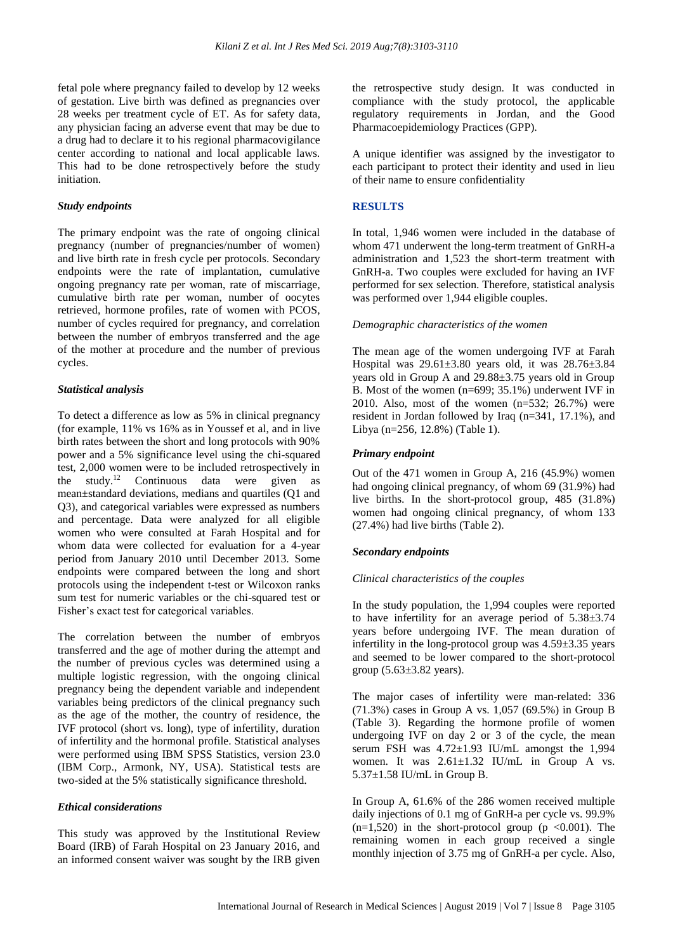fetal pole where pregnancy failed to develop by 12 weeks of gestation. Live birth was defined as pregnancies over 28 weeks per treatment cycle of ET. As for safety data, any physician facing an adverse event that may be due to a drug had to declare it to his regional pharmacovigilance center according to national and local applicable laws. This had to be done retrospectively before the study initiation.

#### *Study endpoints*

The primary endpoint was the rate of ongoing clinical pregnancy (number of pregnancies/number of women) and live birth rate in fresh cycle per protocols. Secondary endpoints were the rate of implantation, cumulative ongoing pregnancy rate per woman, rate of miscarriage, cumulative birth rate per woman, number of oocytes retrieved, hormone profiles, rate of women with PCOS, number of cycles required for pregnancy, and correlation between the number of embryos transferred and the age of the mother at procedure and the number of previous cycles.

#### *Statistical analysis*

To detect a difference as low as 5% in clinical pregnancy (for example, 11% vs 16% as in Youssef et al, and in live birth rates between the short and long protocols with 90% power and a 5% significance level using the chi-squared test, 2,000 women were to be included retrospectively in the study.<sup>12</sup> Continuous data were given as mean±standard deviations, medians and quartiles (Q1 and Q3), and categorical variables were expressed as numbers and percentage. Data were analyzed for all eligible women who were consulted at Farah Hospital and for whom data were collected for evaluation for a 4-year period from January 2010 until December 2013. Some endpoints were compared between the long and short protocols using the independent t-test or Wilcoxon ranks sum test for numeric variables or the chi-squared test or Fisher's exact test for categorical variables.

The correlation between the number of embryos transferred and the age of mother during the attempt and the number of previous cycles was determined using a multiple logistic regression, with the ongoing clinical pregnancy being the dependent variable and independent variables being predictors of the clinical pregnancy such as the age of the mother, the country of residence, the IVF protocol (short vs. long), type of infertility, duration of infertility and the hormonal profile. Statistical analyses were performed using IBM SPSS Statistics, version 23.0 (IBM Corp., Armonk, NY, USA). Statistical tests are two-sided at the 5% statistically significance threshold.

#### *Ethical considerations*

This study was approved by the Institutional Review Board (IRB) of Farah Hospital on 23 January 2016, and an informed consent waiver was sought by the IRB given the retrospective study design. It was conducted in compliance with the study protocol, the applicable regulatory requirements in Jordan, and the Good Pharmacoepidemiology Practices (GPP).

A unique identifier was assigned by the investigator to each participant to protect their identity and used in lieu of their name to ensure confidentiality

#### **RESULTS**

In total, 1,946 women were included in the database of whom 471 underwent the long-term treatment of GnRH-a administration and 1,523 the short-term treatment with GnRH-a. Two couples were excluded for having an IVF performed for sex selection. Therefore, statistical analysis was performed over 1,944 eligible couples.

#### *Demographic characteristics of the women*

The mean age of the women undergoing IVF at Farah Hospital was 29.61±3.80 years old, it was 28.76±3.84 years old in Group A and 29.88±3.75 years old in Group B. Most of the women (n=699; 35.1%) underwent IVF in 2010. Also, most of the women (n=532; 26.7%) were resident in Jordan followed by Iraq (n=341, 17.1%), and Libya (n=256, 12.8%) (Table 1).

# *Primary endpoint*

Out of the 471 women in Group A, 216 (45.9%) women had ongoing clinical pregnancy, of whom 69 (31.9%) had live births. In the short-protocol group, 485 (31.8%) women had ongoing clinical pregnancy, of whom 133 (27.4%) had live births (Table 2).

# *Secondary endpoints*

# *Clinical characteristics of the couples*

In the study population, the 1,994 couples were reported to have infertility for an average period of 5.38±3.74 years before undergoing IVF. The mean duration of infertility in the long-protocol group was 4.59±3.35 years and seemed to be lower compared to the short-protocol group  $(5.63\pm3.82 \text{ years})$ .

The major cases of infertility were man-related: 336 (71.3%) cases in Group A vs. 1,057 (69.5%) in Group B (Table 3). Regarding the hormone profile of women undergoing IVF on day 2 or 3 of the cycle, the mean serum FSH was 4.72±1.93 IU/mL amongst the 1,994 women. It was  $2.61 \pm 1.32$  IU/mL in Group A vs. 5.37±1.58 IU/mL in Group B.

In Group A, 61.6% of the 286 women received multiple daily injections of 0.1 mg of GnRH-a per cycle vs. 99.9%  $(n=1,520)$  in the short-protocol group (p <0.001). The remaining women in each group received a single monthly injection of 3.75 mg of GnRH-a per cycle. Also,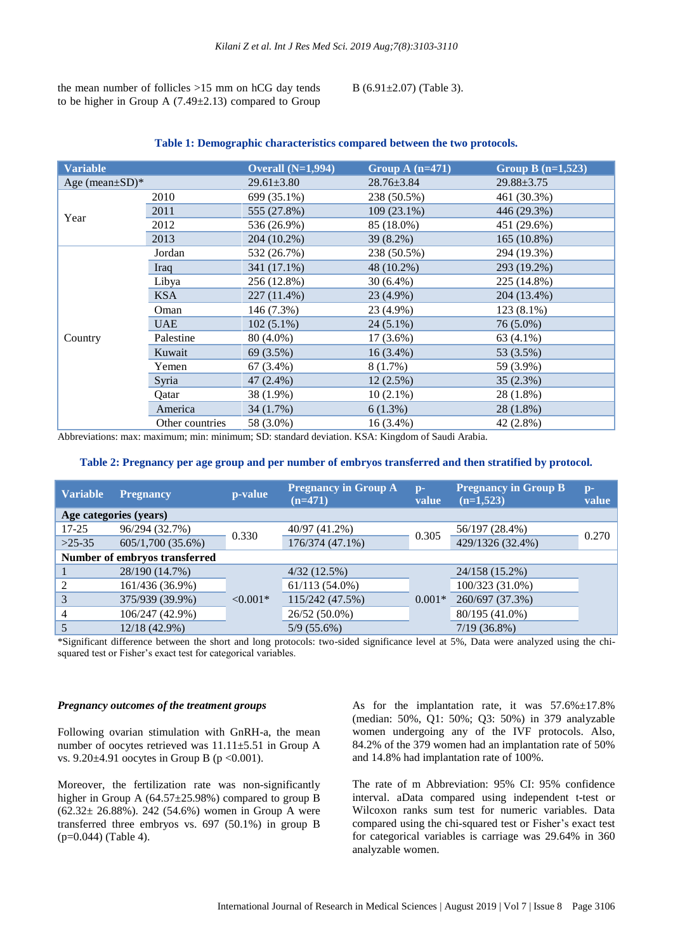the mean number of follicles >15 mm on hCG day tends to be higher in Group A  $(7.49 \pm 2.13)$  compared to Group B (6.91±2.07) (Table 3).

| <b>Variable</b>      |                 | Overall $(N=1,994)$ | Group A $(n=471)$ | Group B $(n=1,523)$ |  |
|----------------------|-----------------|---------------------|-------------------|---------------------|--|
| Age (mean $\pm$ SD)* |                 | $29.61 \pm 3.80$    | $28.76 \pm 3.84$  | $29.88 \pm 3.75$    |  |
| Year                 | 2010            | 699 (35.1%)         | 238 (50.5%)       | 461 (30.3%)         |  |
|                      | 2011            | 555 (27.8%)         | $109(23.1\%)$     | 446 (29.3%)         |  |
|                      | 2012            | 536 (26.9%)         | 85 (18.0%)        | 451 (29.6%)         |  |
|                      | 2013            | 204 (10.2%)         | $39(8.2\%)$       | 165 (10.8%)         |  |
|                      | Jordan          | 532 (26.7%)         | 238 (50.5%)       | 294 (19.3%)         |  |
|                      | Iraq            | 341 (17.1%)         | 48 (10.2%)        | 293 (19.2%)         |  |
|                      | Libya           | 256 (12.8%)         | $30(6.4\%)$       | 225 (14.8%)         |  |
|                      | <b>KSA</b>      | 227 (11.4%)         | 23 (4.9%)         | 204 (13.4%)         |  |
|                      | Oman            | 146 (7.3%)          | 23 (4.9%)         | 123 (8.1%)          |  |
|                      | <b>UAE</b>      | $102(5.1\%)$        | $24(5.1\%)$       | 76 (5.0%)           |  |
| Country              | Palestine       | 80 (4.0%)           | $17(3.6\%)$       | 63 (4.1%)           |  |
|                      | Kuwait          | 69 (3.5%)           | $16(3.4\%)$       | 53 (3.5%)           |  |
|                      | Yemen           | $67(3.4\%)$         | 8(1.7%)           | 59 (3.9%)           |  |
|                      | Syria           | $47(2.4\%)$         | 12(2.5%)          | 35(2.3%)            |  |
|                      | Qatar           | 38 (1.9%)           | $10(2.1\%)$       | 28 (1.8%)           |  |
|                      | America         | 34(1.7%)            | 6(1.3%)           | 28 (1.8%)           |  |
|                      | Other countries | 58 (3.0%)           | $16(3.4\%)$       | 42 (2.8%)           |  |

#### **Table 1: Demographic characteristics compared between the two protocols.**

Abbreviations: max: maximum; min: minimum; SD: standard deviation. KSA: Kingdom of Saudi Arabia.

#### **Table 2: Pregnancy per age group and per number of embryos transferred and then stratified by protocol.**

| <b>Variable</b>               | <b>Pregnancy</b>       | p-value    | <b>Pregnancy in Group A</b><br>$(n=471)$ | $\mathbf{D}$ -<br>value | <b>Pregnancy in Group B</b><br>$(n=1,523)$ | $D -$<br>value |
|-------------------------------|------------------------|------------|------------------------------------------|-------------------------|--------------------------------------------|----------------|
|                               | Age categories (years) |            |                                          |                         |                                            |                |
| $17 - 25$                     | 96/294 (32.7%)         |            | 40/97 (41.2%)                            | 0.305                   | 56/197 (28.4%)                             | 0.270          |
| $>25-35$                      | 605/1,700 (35.6%)      | 0.330      | 176/374 (47.1%)                          |                         | 429/1326 (32.4%)                           |                |
| Number of embryos transferred |                        |            |                                          |                         |                                            |                |
|                               | 28/190 (14.7%)         | $< 0.001*$ | 4/32(12.5%)                              | $0.001*$                | 24/158 (15.2%)                             |                |
| 2                             | 161/436 (36.9%)        |            | $61/113(54.0\%)$                         |                         | 100/323 (31.0%)                            |                |
| 3                             | 375/939 (39.9%)        |            | 115/242 (47.5%)                          |                         | 260/697 (37.3%)                            |                |
| 4                             | 106/247 (42.9%)        |            | $26/52(50.0\%)$                          |                         | 80/195 (41.0%)                             |                |
|                               | 12/18 (42.9%)          |            | $5/9(55.6\%)$                            |                         | $7/19(36.8\%)$                             |                |

\*Significant difference between the short and long protocols: two-sided significance level at 5%, Data were analyzed using the chisquared test or Fisher's exact test for categorical variables.

#### *Pregnancy outcomes of the treatment groups*

Following ovarian stimulation with GnRH-a, the mean number of oocytes retrieved was 11.11±5.51 in Group A vs. 9.20±4.91 oocytes in Group B (p < 0.001).

Moreover, the fertilization rate was non-significantly higher in Group A (64.57±25.98%) compared to group B  $(62.32 \pm 26.88\%)$ . 242 (54.6%) women in Group A were transferred three embryos vs. 697 (50.1%) in group B (p=0.044) (Table 4).

As for the implantation rate, it was 57.6%±17.8% (median: 50%, Q1: 50%; Q3: 50%) in 379 analyzable women undergoing any of the IVF protocols. Also, 84.2% of the 379 women had an implantation rate of 50% and 14.8% had implantation rate of 100%.

The rate of m Abbreviation: 95% CI: 95% confidence interval. aData compared using independent t-test or Wilcoxon ranks sum test for numeric variables. Data compared using the chi-squared test or Fisher's exact test for categorical variables is carriage was 29.64% in 360 analyzable women.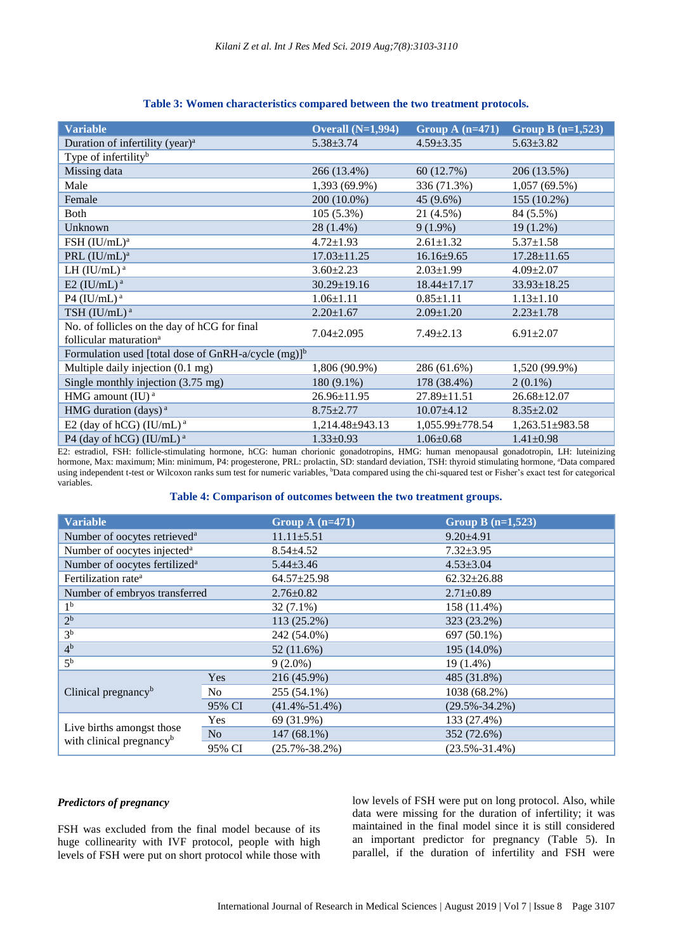| <b>Variable</b>                                                    | Overall $(N=1,994)$ | Group A $(n=471)$     | Group B $(n=1,523)$   |  |  |
|--------------------------------------------------------------------|---------------------|-----------------------|-----------------------|--|--|
| Duration of infertility (year) <sup>a</sup>                        | $5.38 \pm 3.74$     | $4.59 \pm 3.35$       | $5.63 \pm 3.82$       |  |  |
| Type of infertility <sup>b</sup>                                   |                     |                       |                       |  |  |
| Missing data                                                       | 266 (13.4%)         | 60(12.7%)             | 206 (13.5%)           |  |  |
| Male                                                               | 1,393 (69.9%)       | 336 (71.3%)           | $1,057(69.5\%)$       |  |  |
| Female                                                             | 200 (10.0%)         | 45 (9.6%)             | 155 (10.2%)           |  |  |
| Both                                                               | $105(5.3\%)$        | 21 (4.5%)             | 84 (5.5%)             |  |  |
| Unknown                                                            | 28 (1.4%)           | $9(1.9\%)$            | $19(1.2\%)$           |  |  |
| FSH (IU/mL) <sup>a</sup>                                           | $4.72 \pm 1.93$     | $2.61 \pm 1.32$       | $5.37 \pm 1.58$       |  |  |
| PRL (IU/mL) <sup>a</sup>                                           | $17.03 \pm 11.25$   | $16.16 \pm 9.65$      | $17.28 \pm 11.65$     |  |  |
| LH $(IU/mL)^a$                                                     | $3.60 \pm 2.23$     | $2.03 \pm 1.99$       | $4.09 \pm 2.07$       |  |  |
| E2 (IU/mL) $^a$                                                    | $30.29 \pm 19.16$   | $18.44 \pm 17.17$     | $33.93 \pm 18.25$     |  |  |
| P4 (IU/mL) $^a$                                                    | $1.06 \pm 1.11$     | $0.85 \pm 1.11$       | $1.13 \pm 1.10$       |  |  |
| TSH (IU/mL) <sup>a</sup>                                           | $2.20 \pm 1.67$     | $2.09 \pm 1.20$       | $2.23 \pm 1.78$       |  |  |
| No. of follicles on the day of hCG for final                       | $7.04 \pm 2.095$    | $7.49 \pm 2.13$       | $6.91 \pm 2.07$       |  |  |
| follicular maturation <sup>a</sup>                                 |                     |                       |                       |  |  |
| Formulation used [total dose of GnRH-a/cycle $(mg)$ ] <sup>b</sup> |                     |                       |                       |  |  |
| Multiple daily injection (0.1 mg)                                  | 1,806 (90.9%)       | 286 (61.6%)           | 1,520 (99.9%)         |  |  |
| Single monthly injection (3.75 mg)                                 | 180 (9.1%)          | 178 (38.4%)           | $2(0.1\%)$            |  |  |
| HMG amount (IU) <sup>a</sup>                                       | $26.96 \pm 11.95$   | $27.89 \pm 11.51$     | $26.68 \pm 12.07$     |  |  |
| HMG duration (days) <sup>a</sup>                                   | $8.75 \pm 2.77$     | $10.07+4.12$          | $8.35 \pm 2.02$       |  |  |
| E2 (day of hCG) (IU/mL) <sup><math>a</math></sup>                  | 1,214.48±943.13     | $1,055.99 \pm 778.54$ | $1,263.51 \pm 983.58$ |  |  |
| P4 (day of hCG) (IU/mL) <sup>a</sup>                               | $1.33 \pm 0.93$     | $1.06 \pm 0.68$       | $1.41 \pm 0.98$       |  |  |

# **Table 3: Women characteristics compared between the two treatment protocols.**

E2: estradiol, FSH: follicle-stimulating hormone, hCG: human chorionic gonadotropins, HMG: human menopausal gonadotropin, LH: luteinizing hormone, Max: maximum; Min: minimum, P4: progesterone, PRL: prolactin, SD: standard deviation, TSH: thyroid stimulating hormone, "Data compared using independent t-test or Wilcoxon ranks sum test for numeric variables, <sup>b</sup>Data compared using the chi-squared test or Fisher's exact test for categorical variables.

#### **Table 4: Comparison of outcomes between the two treatment groups.**

| <b>Variable</b>                                                   |            | Group A $(n=471)$   | Group B $(n=1,523)$ |
|-------------------------------------------------------------------|------------|---------------------|---------------------|
| Number of oocytes retrieved <sup>a</sup>                          |            | $11.11 \pm 5.51$    | $9.20 \pm 4.91$     |
| Number of oocytes injected <sup>a</sup>                           |            | $8.54 + 4.52$       | $7.32 \pm 3.95$     |
| Number of oocytes fertilized <sup>a</sup>                         |            | $5.44 \pm 3.46$     | $4.53 \pm 3.04$     |
| Fertilization rate <sup>a</sup>                                   |            | $64.57 \pm 25.98$   | $62.32 \pm 26.88$   |
| Number of embryos transferred                                     |            | $2.76 \pm 0.82$     | $2.71 \pm 0.89$     |
| 1 <sup>b</sup>                                                    |            | $32(7.1\%)$         | 158 (11.4%)         |
| 2 <sup>b</sup>                                                    |            | 113 (25.2%)         | 323 (23.2%)         |
| 3 <sup>b</sup>                                                    |            | 242 (54.0%)         | 697 (50.1%)         |
| 4 <sup>b</sup>                                                    |            | 52 (11.6%)          | 195 (14.0%)         |
| 5 <sup>b</sup>                                                    |            | $9(2.0\%)$          | $19(1.4\%)$         |
|                                                                   | Yes        | 216 (45.9%)         | 485 (31.8%)         |
| Clinical pregnancy <sup>b</sup>                                   | No.        | 255 (54.1%)         | 1038 (68.2%)        |
|                                                                   | 95% CI     | $(41.4\% - 51.4\%)$ | $(29.5\% - 34.2\%)$ |
|                                                                   | <b>Yes</b> | 69 (31.9%)          | 133 (27.4%)         |
| Live births amongst those<br>with clinical pregnancy <sup>b</sup> | No         | 147 (68.1%)         | 352 (72.6%)         |
|                                                                   | 95% CI     | $(25.7\% - 38.2\%)$ | $(23.5\% - 31.4\%)$ |

#### *Predictors of pregnancy*

FSH was excluded from the final model because of its huge collinearity with IVF protocol, people with high levels of FSH were put on short protocol while those with low levels of FSH were put on long protocol. Also, while data were missing for the duration of infertility; it was maintained in the final model since it is still considered an important predictor for pregnancy (Table 5). In parallel, if the duration of infertility and FSH were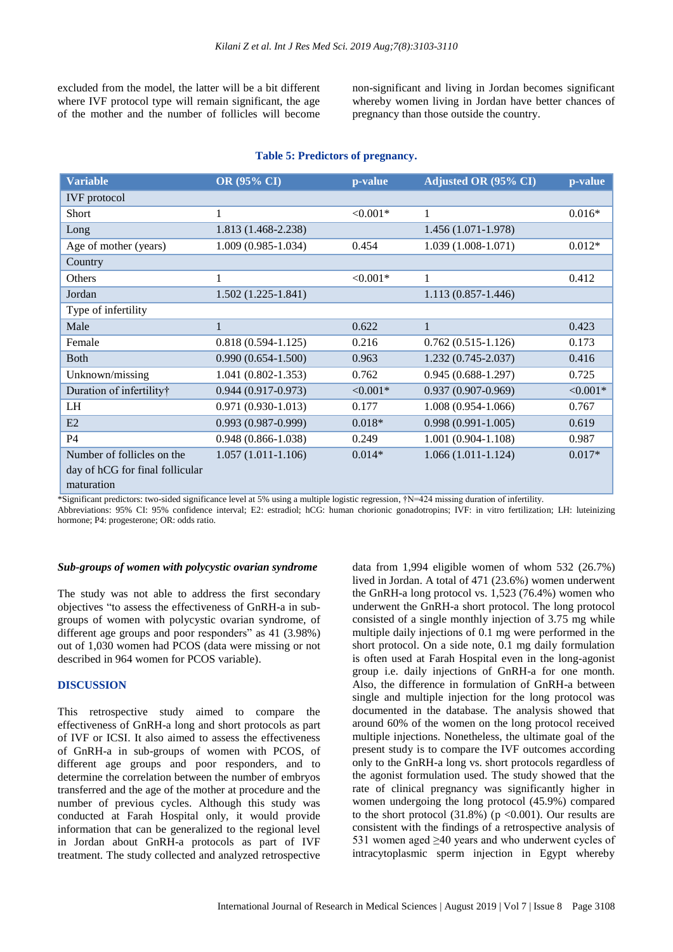excluded from the model, the latter will be a bit different where IVF protocol type will remain significant, the age of the mother and the number of follicles will become non-significant and living in Jordan becomes significant whereby women living in Jordan have better chances of pregnancy than those outside the country.

# **Table 5: Predictors of pregnancy.**

| <b>Variable</b>                 | OR (95% CI)            | p-value    | Adjusted OR (95% CI)   | p-value   |
|---------------------------------|------------------------|------------|------------------------|-----------|
| <b>IVF</b> protocol             |                        |            |                        |           |
| Short                           | 1                      | $< 0.001*$ | 1                      | $0.016*$  |
| Long                            | 1.813 (1.468-2.238)    |            | 1.456 (1.071-1.978)    |           |
| Age of mother (years)           | $1.009(0.985 - 1.034)$ | 0.454      | $1.039(1.008-1.071)$   | $0.012*$  |
| Country                         |                        |            |                        |           |
| Others                          |                        | $< 0.001*$ | 1                      | 0.412     |
| Jordan                          | $1.502(1.225-1.841)$   |            | $1.113(0.857 - 1.446)$ |           |
| Type of infertility             |                        |            |                        |           |
| Male                            | 1                      | 0.622      | 1                      | 0.423     |
| Female                          | $0.818(0.594 - 1.125)$ | 0.216      | $0.762(0.515-1.126)$   | 0.173     |
| <b>Both</b>                     | $0.990(0.654-1.500)$   | 0.963      | $1.232(0.745 - 2.037)$ | 0.416     |
| Unknown/missing                 | $1.041(0.802 - 1.353)$ | 0.762      | $0.945(0.688-1.297)$   | 0.725     |
| Duration of infertility†        | $0.944(0.917-0.973)$   | $< 0.001*$ | $0.937(0.907 - 0.969)$ | $<0.001*$ |
| LH                              | $0.971(0.930-1.013)$   | 0.177      | $1.008(0.954-1.066)$   | 0.767     |
| E2                              | $0.993(0.987-0.999)$   | $0.018*$   | $0.998(0.991-1.005)$   | 0.619     |
| P4                              | $0.948(0.866 - 1.038)$ | 0.249      | $1.001(0.904 - 1.108)$ | 0.987     |
| Number of follicles on the      | $1.057(1.011-1.106)$   | $0.014*$   | $1.066(1.011-1.124)$   | $0.017*$  |
| day of hCG for final follicular |                        |            |                        |           |
| maturation                      |                        |            |                        |           |

\*Significant predictors: two-sided significance level at 5% using a multiple logistic regression, †N=424 missing duration of infertility.

Abbreviations: 95% CI: 95% confidence interval; E2: estradiol; hCG: human chorionic gonadotropins; IVF: in vitro fertilization; LH: luteinizing hormone; P4: progesterone; OR: odds ratio.

#### *Sub-groups of women with polycystic ovarian syndrome*

The study was not able to address the first secondary objectives "to assess the effectiveness of GnRH-a in subgroups of women with polycystic ovarian syndrome, of different age groups and poor responders" as 41 (3.98%) out of 1,030 women had PCOS (data were missing or not described in 964 women for PCOS variable).

#### **DISCUSSION**

This retrospective study aimed to compare the effectiveness of GnRH-a long and short protocols as part of IVF or ICSI. It also aimed to assess the effectiveness of GnRH-a in sub-groups of women with PCOS, of different age groups and poor responders, and to determine the correlation between the number of embryos transferred and the age of the mother at procedure and the number of previous cycles. Although this study was conducted at Farah Hospital only, it would provide information that can be generalized to the regional level in Jordan about GnRH-a protocols as part of IVF treatment. The study collected and analyzed retrospective

data from 1,994 eligible women of whom 532 (26.7%) lived in Jordan. A total of 471 (23.6%) women underwent the GnRH-a long protocol vs. 1,523 (76.4%) women who underwent the GnRH-a short protocol. The long protocol consisted of a single monthly injection of 3.75 mg while multiple daily injections of 0.1 mg were performed in the short protocol. On a side note, 0.1 mg daily formulation is often used at Farah Hospital even in the long-agonist group i.e. daily injections of GnRH-a for one month. Also, the difference in formulation of GnRH-a between single and multiple injection for the long protocol was documented in the database. The analysis showed that around 60% of the women on the long protocol received multiple injections. Nonetheless, the ultimate goal of the present study is to compare the IVF outcomes according only to the GnRH-a long vs. short protocols regardless of the agonist formulation used. The study showed that the rate of clinical pregnancy was significantly higher in women undergoing the long protocol (45.9%) compared to the short protocol  $(31.8\%)$  (p <0.001). Our results are consistent with the findings of a retrospective analysis of 531 women aged  $\geq 40$  years and who underwent cycles of intracytoplasmic sperm injection in Egypt whereby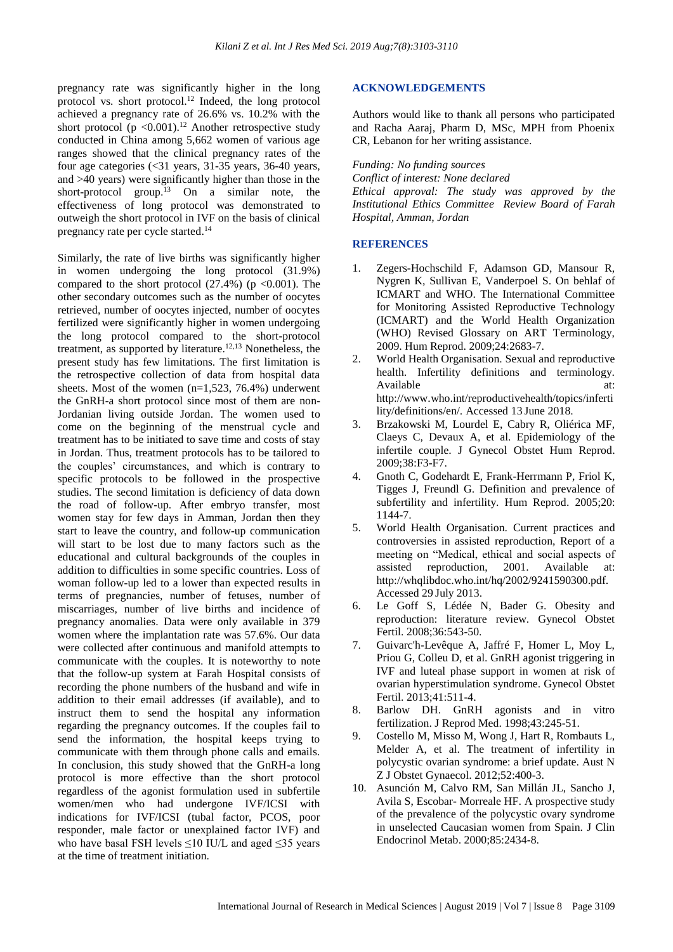pregnancy rate was significantly higher in the long protocol vs. short protocol. <sup>12</sup> Indeed, the long protocol achieved a pregnancy rate of 26.6% vs. 10.2% with the short protocol ( $p < 0.001$ ).<sup>12</sup> Another retrospective study conducted in China among 5,662 women of various age ranges showed that the clinical pregnancy rates of the four age categories (<31 years, 31-35 years, 36-40 years, and >40 years) were significantly higher than those in the short-protocol group. <sup>13</sup> On a similar note, the effectiveness of long protocol was demonstrated to outweigh the short protocol in IVF on the basis of clinical pregnancy rate per cycle started.<sup>14</sup>

Similarly, the rate of live births was significantly higher in women undergoing the long protocol (31.9%) compared to the short protocol  $(27.4\%)$  (p <0.001). The other secondary outcomes such as the number of oocytes retrieved, number of oocytes injected, number of oocytes fertilized were significantly higher in women undergoing the long protocol compared to the short-protocol treatment, as supported by literature. 12,13 Nonetheless, the present study has few limitations. The first limitation is the retrospective collection of data from hospital data sheets. Most of the women  $(n=1,523, 76.4\%)$  underwent the GnRH-a short protocol since most of them are non-Jordanian living outside Jordan. The women used to come on the beginning of the menstrual cycle and treatment has to be initiated to save time and costs of stay in Jordan. Thus, treatment protocols has to be tailored to the couples' circumstances, and which is contrary to specific protocols to be followed in the prospective studies. The second limitation is deficiency of data down the road of follow-up. After embryo transfer, most women stay for few days in Amman, Jordan then they start to leave the country, and follow-up communication will start to be lost due to many factors such as the educational and cultural backgrounds of the couples in addition to difficulties in some specific countries. Loss of woman follow-up led to a lower than expected results in terms of pregnancies, number of fetuses, number of miscarriages, number of live births and incidence of pregnancy anomalies. Data were only available in 379 women where the implantation rate was 57.6%. Our data were collected after continuous and manifold attempts to communicate with the couples. It is noteworthy to note that the follow-up system at Farah Hospital consists of recording the phone numbers of the husband and wife in addition to their email addresses (if available), and to instruct them to send the hospital any information regarding the pregnancy outcomes. If the couples fail to send the information, the hospital keeps trying to communicate with them through phone calls and emails. In conclusion, this study showed that the GnRH-a long protocol is more effective than the short protocol regardless of the agonist formulation used in subfertile women/men who had undergone IVF/ICSI with indications for IVF/ICSI (tubal factor, PCOS, poor responder, male factor or unexplained factor IVF) and who have basal FSH levels  $\leq$ 10 IU/L and aged  $\leq$ 35 years at the time of treatment initiation.

#### **ACKNOWLEDGEMENTS**

Authors would like to thank all persons who participated and Racha Aaraj, Pharm D, MSc, MPH from Phoenix CR, Lebanon for her writing assistance.

*Funding: No funding sources*

*Conflict of interest: None declared Ethical approval: The study was approved by the Institutional Ethics Committee Review Board of Farah Hospital, Amman, Jordan*

#### **REFERENCES**

- 1. Zegers-Hochschild F, Adamson GD, Mansour R, Nygren K, Sullivan E, Vanderpoel S. On behlaf of ICMART and WHO. The International Committee for Monitoring Assisted Reproductive Technology (ICMART) and the World Health Organization (WHO) Revised Glossary on ART Terminology, 2009. Hum Reprod. 2009;24:2683-7.
- 2. World Health Organisation. Sexual and reproductive health. Infertility definitions and terminology. Available at: at: http://www.who.int/reproductivehealth/topics/inferti lity/definitions/en/. Accessed 13 June 2018.
- 3. Brzakowski M, Lourdel E, Cabry R, Oliérica MF, Claeys C, Devaux A, et al. Epidemiology of the infertile couple. J Gynecol Obstet Hum Reprod. 2009;38:F3-F7.
- 4. Gnoth C, Godehardt E, Frank-Herrmann P, Friol K, Tigges J, Freundl G. Definition and prevalence of subfertility and infertility. Hum Reprod. 2005;20: 1144-7.
- 5. World Health Organisation. Current practices and controversies in assisted reproduction, Report of a meeting on "Medical, ethical and social aspects of assisted reproduction, 2001. Available at: http://whqlibdoc.who.int/hq/2002/9241590300.pdf. Accessed 29 July 2013.
- 6. Le Goff S, Lédée N, Bader G. Obesity and reproduction: literature review. Gynecol Obstet Fertil. 2008;36:543-50.
- 7. Guivarc'h-Levêque A, Jaffré F, Homer L, Moy L, Priou G, Colleu D, et al. GnRH agonist triggering in IVF and luteal phase support in women at risk of ovarian hyperstimulation syndrome. Gynecol Obstet Fertil. 2013;41:511-4.
- 8. Barlow DH. GnRH agonists and in vitro fertilization. J Reprod Med. 1998;43:245-51.
- 9. Costello M, Misso M, Wong J, Hart R, Rombauts L, Melder A, et al. The treatment of infertility in polycystic ovarian syndrome: a brief update. Aust N Z J Obstet Gynaecol. 2012;52:400-3.
- 10. Asunción M, Calvo RM, San Millán JL, Sancho J, Avila S, Escobar- Morreale HF. A prospective study of the prevalence of the polycystic ovary syndrome in unselected Caucasian women from Spain. J Clin Endocrinol Metab. 2000;85:2434-8.